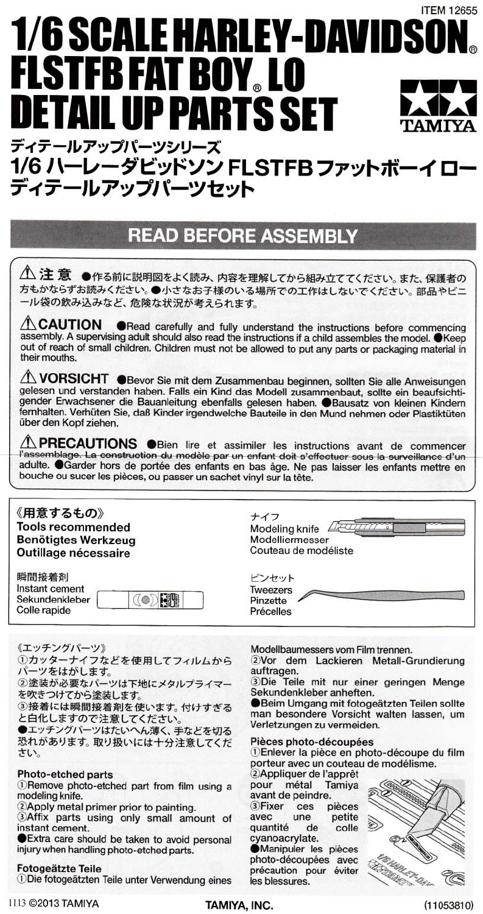# **ITEM 12655 1/6 SCALE HARLEY-DAVIDSON FLSTFB FAT BOY, LO DETAIL UP PARTS SET** ディテールアップパーツシリーズ

## 1/6 ハーレーダビッドソン FLSTFB ファットボーイロー ディテールアップパーツセット

## **READ BEFORE ASSEMBLY**

 $\hat{\triangle}$ 注意 ●作る前に説明図をよく読み、内容を理解してから組み立ててください。また、保護者の 方もかならずお読みください。●小さなお子様のいる場所での工作はしないでください。部品やビニ ール袋の飲み込みなど、危険な状況が考えられます。

**ACAUTION ORead carefully and fully understand the instructions before commencing** assembly. A supervising adult should also read the instructions if a child assembles the model. OKeep out of reach of small children. Children must not be allowed to put any parts or packaging material in their mouths.

1 VORSICHT ● Bevor Sie mit dem Zusammenbau beginnen, sollten Sie alle Anweisungen gelesen und verstanden haben. Falls ein Kind das Modell zusammenbaut, sollte ein beaufsichtigender Erwachsener die Bauanleitung ebenfalls gelesen haben. @Bausatz von kleinen Kindern fernhalten. Verhüten Sie, daß Kinder irgendwelche Bauteile in den Mund nehmen oder Plastiktüten über den Kopf ziehen.

**A PRECAUTIONS** OBien lire et assimiler les instructions avant de commencer<br>l'assemblage. La construction du modèle par un enfant doit s'effectuer sous la surveillance d'un adulte. OGarder hors de portée des enfants en bas âge. Ne pas laisser les enfants mettre en bouche ou sucer les pièces, ou passer un sachet vinyl sur la tête.

ナイフ

ピンセット Tweezers

Pinzette Précelles

Modeling knife 22

Couteau de modéliste

Modelliermesser

## 《用意するもの》 **Tools recommended Benötigtes Werkzeug** Outillage nécessaire

| 瞬間接着剤          |                               |
|----------------|-------------------------------|
| Instant cement |                               |
| Sekundenkleber | $  \langle \bullet \rangle  $ |
| Colle rapide   |                               |

《エッチングパーツ》

①カッターナイフなどを使用してフィルムから パーツをはがします。

②塗装が必要なパーツは下地にメタルプライマー を吹きつけてから塗装します。

3接着には瞬間接着剤を使います。付けすぎる と白化しますので注意してください。

●エッチングパーツはたいへん薄く、手などを切る 恐れがあります。取り扱いには十分注意してくだ さい。

### Photo-etched parts

1) Remove photo-etched part from film using a modeling knife.

2 Apply metal primer prior to painting.

3Affix parts using only small amount of instant cement.

Extra care should be taken to avoid personal injury when handling photo-etched parts.

#### **Fotogeätzte Teile**

*<u>ODie</u>* fotogeätzten Teile unter Verwendung eines

Modellbaumessers vom Film trennen.

2Vor dem Lackieren Metall-Grundierung auftragen.

3Die Teile mit nur einer geringen Menge Sekundenkleber anheften.

**Beim Umgang mit fotogeätzten Teilen sollte** man besondere Vorsicht walten lassen, um Verletzungen zu vermeiden.

### Pièces photo-découpées

1) Enlever la pièce en photo-découpe du film porteur avec un couteau de modélisme.

2Appliquer de l'apprêt pour métal Tamiya avant de peindre. 3) Fixer ces pièces quantité d' petite colle de cyanoacrylate. **Manipuler** les pièces photo-découpées avec

précaution pour éviter

les blessures.

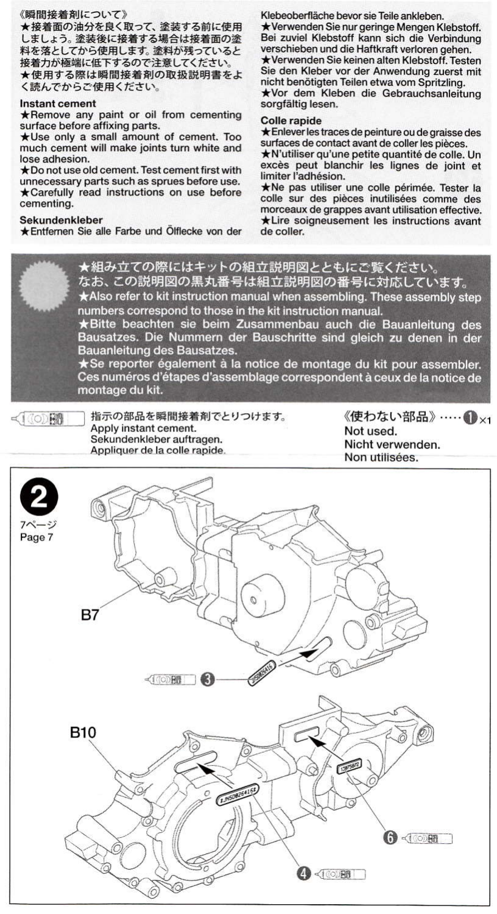### 《瞬間接着剤について》

★接着面の油分を良く取って、塗装する前に使用 しましょう。塗装後に接着する場合は接着面の塗 料を落としてから使用します。塗料が残っていると 接着力が極端に低下するので注意してください。 ★使用する際は瞬間接着剤の取扱説明書をよ く読んでからご使用ください。

#### Instant cement

\*Remove any paint or oil from cementing surface before affixing parts.

\*Use only a small amount of cement. Too much cement will make joints turn white and lose adhesion.

\* Do not use old cement. Test cement first with unnecessary parts such as sprues before use. \*Carefully read instructions on use before cementing.

#### Sekundenkleber

\*Entfernen Sie alle Farbe und Ölflecke von der

Klebeoberfläche bevor sie Teile ankleben. ★ Verwenden Sie nur geringe Mengen Klebstoff. Bei zuviel Klebstoff kann sich die Verbindung verschieben und die Haftkraft verloren gehen. ★Verwenden Sie keinen alten Klebstoff. Testen Sie den Kleber vor der Anwendung zuerst mit nicht benötigten Teilen etwa vom Spritzling. ★Vor dem Kleben die Gebrauchsanleitung sorgfältig lesen.

#### Colle rapide

\* Enlever les traces de peinture ou de graisse des surfaces de contact avant de coller les pièces.

★N'utiliser qu'une petite quantité de colle. Un excès peut blanchir les lignes de joint et limiter l'adhésion.

\*Ne pas utiliser une colle périmée. Tester la colle sur des pièces inutilisées comme des morceaux de grappes avant utilisation effective. \*Lire soigneusement les instructions avant de coller.

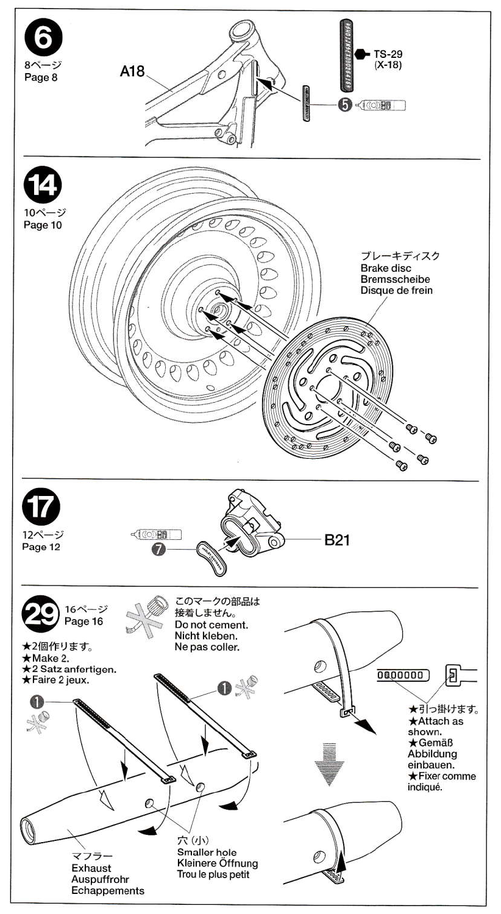